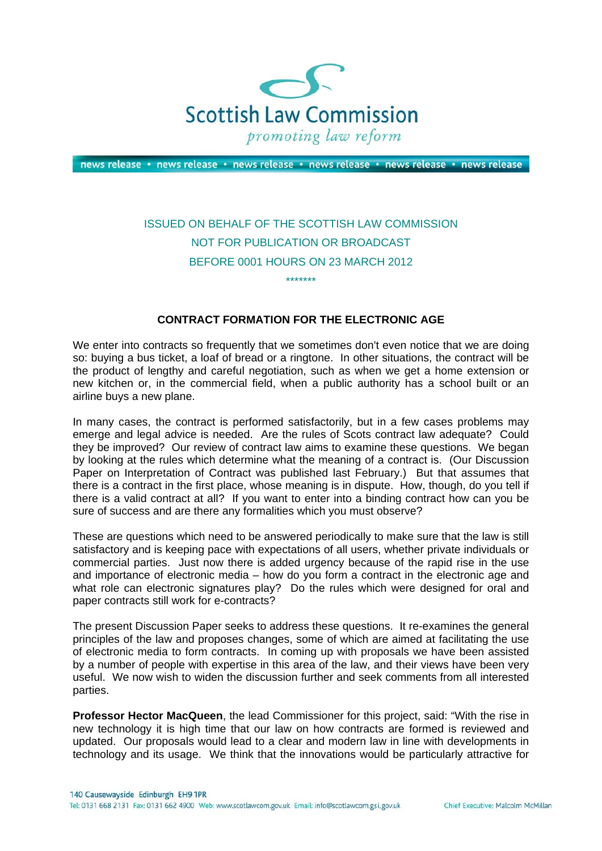

news release · news release · news release · news release · news release · news release

## ISSUED ON BEHALF OF THE SCOTTISH LAW COMMISSION NOT FOR PUBLICATION OR BROADCAST BEFORE 0001 HOURS ON 23 MARCH 2012 \*\*\*\*\*\*\*

## **CONTRACT FORMATION FOR THE ELECTRONIC AGE**

We enter into contracts so frequently that we sometimes don't even notice that we are doing so: buying a bus ticket, a loaf of bread or a ringtone. In other situations, the contract will be the product of lengthy and careful negotiation, such as when we get a home extension or new kitchen or, in the commercial field, when a public authority has a school built or an airline buys a new plane.

In many cases, the contract is performed satisfactorily, but in a few cases problems may emerge and legal advice is needed. Are the rules of Scots contract law adequate? Could they be improved? Our review of contract law aims to examine these questions. We began by looking at the rules which determine what the meaning of a contract is. (Our Discussion Paper on Interpretation of Contract was published last February.) But that assumes that there is a contract in the first place, whose meaning is in dispute. How, though, do you tell if there is a valid contract at all? If you want to enter into a binding contract how can you be sure of success and are there any formalities which you must observe?

These are questions which need to be answered periodically to make sure that the law is still satisfactory and is keeping pace with expectations of all users, whether private individuals or commercial parties. Just now there is added urgency because of the rapid rise in the use and importance of electronic media – how do you form a contract in the electronic age and what role can electronic signatures play? Do the rules which were designed for oral and paper contracts still work for e-contracts?

The present Discussion Paper seeks to address these questions. It re-examines the general principles of the law and proposes changes, some of which are aimed at facilitating the use of electronic media to form contracts. In coming up with proposals we have been assisted by a number of people with expertise in this area of the law, and their views have been very useful. We now wish to widen the discussion further and seek comments from all interested parties.

**Professor Hector MacQueen**, the lead Commissioner for this project, said: "With the rise in new technology it is high time that our law on how contracts are formed is reviewed and updated. Our proposals would lead to a clear and modern law in line with developments in technology and its usage. We think that the innovations would be particularly attractive for